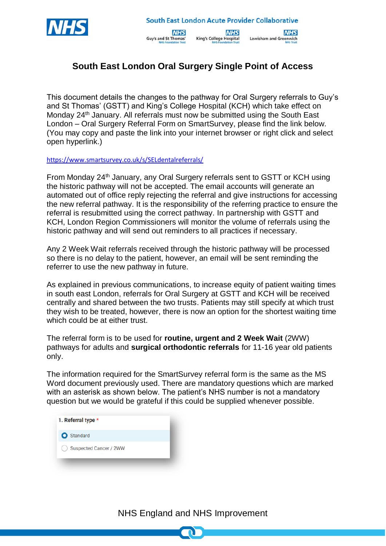



**NHS King's College Hospital** 



## **South East London Oral Surgery Single Point of Access**

This document details the changes to the pathway for Oral Surgery referrals to Guy's and St Thomas' (GSTT) and King's College Hospital (KCH) which take effect on Monday 24<sup>th</sup> January. All referrals must now be submitted using the South East London – Oral Surgery Referral Form on SmartSurvey, please find the link below. (You may copy and paste the link into your internet browser or right click and select open hyperlink.)

<https://www.smartsurvey.co.uk/s/SELdentalreferrals/>

From Monday 24th January, any Oral Surgery referrals sent to GSTT or KCH using the historic pathway will not be accepted. The email accounts will generate an automated out of office reply rejecting the referral and give instructions for accessing the new referral pathway. It is the responsibility of the referring practice to ensure the referral is resubmitted using the correct pathway. In partnership with GSTT and KCH, London Region Commissioners will monitor the volume of referrals using the historic pathway and will send out reminders to all practices if necessary.

Any 2 Week Wait referrals received through the historic pathway will be processed so there is no delay to the patient, however, an email will be sent reminding the referrer to use the new pathway in future.

As explained in previous communications, to increase equity of patient waiting times in south east London, referrals for Oral Surgery at GSTT and KCH will be received centrally and shared between the two trusts. Patients may still specify at which trust they wish to be treated, however, there is now an option for the shortest waiting time which could be at either trust.

The referral form is to be used for **routine, urgent and 2 Week Wait** (2WW) pathways for adults and **surgical orthodontic referrals** for 11-16 year old patients only.

The information required for the SmartSurvey referral form is the same as the MS Word document previously used. There are mandatory questions which are marked with an asterisk as shown below. The patient's NHS number is not a mandatory question but we would be grateful if this could be supplied whenever possible.



NHS England and NHS Improvement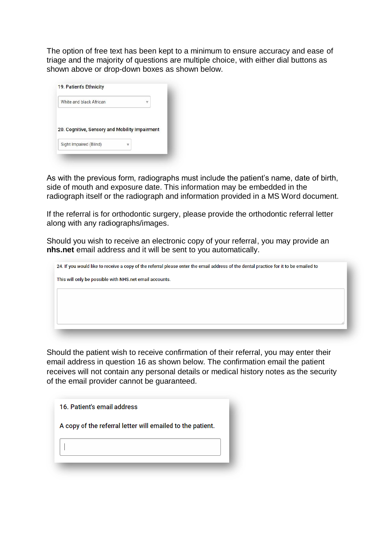The option of free text has been kept to a minimum to ensure accuracy and ease of triage and the majority of questions are multiple choice, with either dial buttons as shown above or drop-down boxes as shown below.

| White and black African                        |  |
|------------------------------------------------|--|
|                                                |  |
|                                                |  |
| 20. Cognitive, Sensory and Mobility Impairment |  |

As with the previous form, radiographs must include the patient's name, date of birth, side of mouth and exposure date. This information may be embedded in the radiograph itself or the radiograph and information provided in a MS Word document.

If the referral is for orthodontic surgery, please provide the orthodontic referral letter along with any radiographs/images.

Should you wish to receive an electronic copy of your referral, you may provide an **nhs.net** email address and it will be sent to you automatically.

| 24. If you would like to receive a copy of the referral please enter the email address of the dental practice for it to be emailed to |  |
|---------------------------------------------------------------------------------------------------------------------------------------|--|
| This will only be possible with NHS.net email accounts.                                                                               |  |
|                                                                                                                                       |  |
|                                                                                                                                       |  |
|                                                                                                                                       |  |
|                                                                                                                                       |  |

Should the patient wish to receive confirmation of their referral, you may enter their email address in question 16 as shown below. The confirmation email the patient receives will not contain any personal details or medical history notes as the security of the email provider cannot be guaranteed.

| 16. Patient's email address                                |  |
|------------------------------------------------------------|--|
| A copy of the referral letter will emailed to the patient. |  |
|                                                            |  |
|                                                            |  |